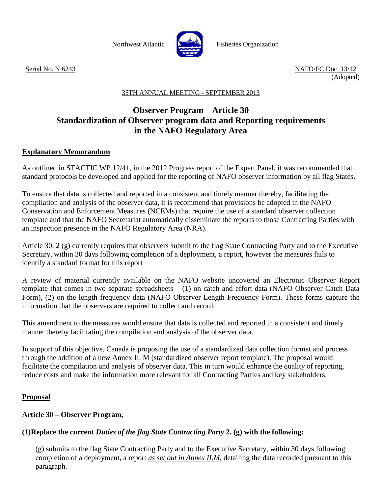

Northwest Atlantic **Northus** Fisheries Organization

Serial No. N 6243 NAFO/FC Doc. 13/12 (Adopted)

# 35TH ANNUAL MEETING - SEPTEMBER 2013

# **Observer Program – Article 30 Standardization of Observer program data and Reporting requirements in the NAFO Regulatory Area**

### **Explanatory Memorandum**

As outlined in STACTIC WP 12/41, in the 2012 Progress report of the Expert Panel, it was recommended that standard protocols be developed and applied for the reporting of NAFO observer information by all flag States.

To ensure that data is collected and reported in a consistent and timely manner thereby, facilitating the compilation and analysis of the observer data, it is recommend that provisions be adopted in the NAFO Conservation and Enforcement Measures (NCEMs) that require the use of a standard observer collection template and that the NAFO Secretariat automatically disseminate the reports to those Contracting Parties with an inspection presence in the NAFO Regulatory Area (NRA).

Article 30, 2 (g) currently requires that observers submit to the flag State Contracting Party and to the Executive Secretary, within 30 days following completion of a deployment, a report, however the measures fails to identify a standard format for this report

A review of material currently available on the NAFO website uncovered an Electronic Observer Report template that comes in two separate spreadsheets  $- (1)$  on catch and effort data (NAFO Observer Catch Data Form), (2) on the length frequency data (NAFO Observer Length Frequency Form). These forms capture the information that the observers are required to collect and record.

This amendment to the measures would ensure that data is collected and reported in a consistent and timely manner thereby facilitating the compilation and analysis of the observer data.

In support of this objective, Canada is proposing the use of a standardized data collection format and process through the addition of a new Annex II. M (standardized observer report template). The proposal would facilitate the compilation and analysis of observer data. This in turn would enhance the quality of reporting, reduce costs and make the information more relevant for all Contracting Parties and key stakeholders.

# **Proposal**

# **Article 30 – Observer Program,**

# **(1)Replace the current** *Duties of the flag State Contracting Party* **2. (g) with the following:**

(g) submits to the flag State Contracting Party and to the Executive Secretary, within 30 days following completion of a deployment, a report *as set out in Annex II.M,* detailing the data recorded pursuant to this paragraph.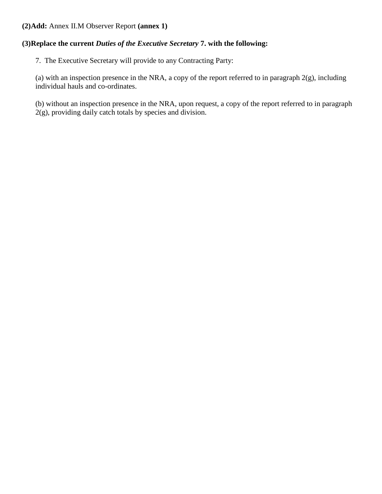# **(2)Add:** Annex II.M Observer Report **(annex 1)**

# **(3)Replace the current** *Duties of the Executive Secretary* **7. with the following:**

7. The Executive Secretary will provide to any Contracting Party:

(a) with an inspection presence in the NRA, a copy of the report referred to in paragraph  $2(g)$ , including individual hauls and co-ordinates.

(b) without an inspection presence in the NRA, upon request, a copy of the report referred to in paragraph 2(g), providing daily catch totals by species and division.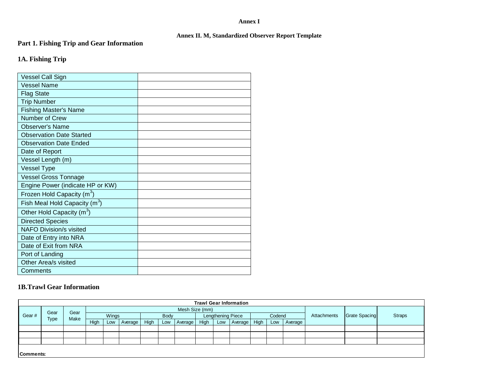#### **Annex I**

#### **Annex II. M, Standardized Observer Report Template**

#### **Part 1. Fishing Trip and Gear Information**

# **1A. Fishing Trip**

| Vessel Call Sign                 |  |
|----------------------------------|--|
| <b>Vessel Name</b>               |  |
| <b>Flag State</b>                |  |
| <b>Trip Number</b>               |  |
| <b>Fishing Master's Name</b>     |  |
| Number of Crew                   |  |
| <b>Observer's Name</b>           |  |
| <b>Observation Date Started</b>  |  |
| <b>Observation Date Ended</b>    |  |
| Date of Report                   |  |
| Vessel Length (m)                |  |
| <b>Vessel Type</b>               |  |
| <b>Vessel Gross Tonnage</b>      |  |
| Engine Power (indicate HP or KW) |  |
| Frozen Hold Capacity $(m^3)$     |  |
| Fish Meal Hold Capacity $(m^3)$  |  |
| Other Hold Capacity $(m^3)$      |  |
| <b>Directed Species</b>          |  |
| <b>NAFO Division/s visited</b>   |  |
| Date of Entry into NRA           |  |
| Date of Exit from NRA            |  |
| Port of Landing                  |  |
| Other Area/s visited             |  |
| Comments                         |  |

#### **1B.Trawl Gear Information**

| <b>Trawl Gear Information</b> |           |      |       |                |         |             |     |                   |      |        |         |             |               |               |  |  |  |
|-------------------------------|-----------|------|-------|----------------|---------|-------------|-----|-------------------|------|--------|---------|-------------|---------------|---------------|--|--|--|
|                               | Gear      | Gear |       | Mesh Size (mm) |         |             |     |                   |      |        |         |             |               |               |  |  |  |
| Gear#                         |           | Make | Wings |                |         | <b>Body</b> |     | Lengthening Piece |      | Codend |         | Attachments | Grate Spacing | <b>Straps</b> |  |  |  |
|                               | Type      |      | High  | Low            | Average | High        | Low | Average           | High | Low    | Average | High        | Low           | Average       |  |  |  |
|                               |           |      |       |                |         |             |     |                   |      |        |         |             |               |               |  |  |  |
|                               |           |      |       |                |         |             |     |                   |      |        |         |             |               |               |  |  |  |
|                               |           |      |       |                |         |             |     |                   |      |        |         |             |               |               |  |  |  |
|                               |           |      |       |                |         |             |     |                   |      |        |         |             |               |               |  |  |  |
|                               | Comments: |      |       |                |         |             |     |                   |      |        |         |             |               |               |  |  |  |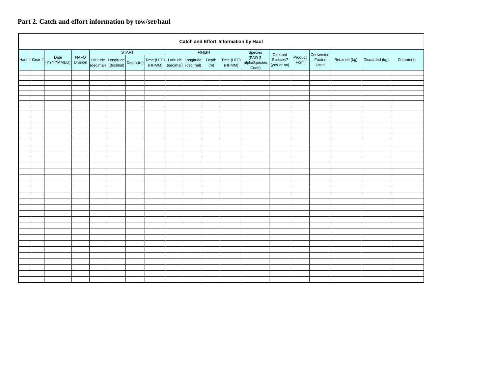# **Part 2. Catch and effort information by tow/set/haul**

| <b>Catch and Effort Information by Haul</b> |                                           |             |              |  |                                                     |                                                             |               |  |              |                      |                                  |                         |                 |                        |               |                |          |
|---------------------------------------------|-------------------------------------------|-------------|--------------|--|-----------------------------------------------------|-------------------------------------------------------------|---------------|--|--------------|----------------------|----------------------------------|-------------------------|-----------------|------------------------|---------------|----------------|----------|
|                                             |                                           |             | <b>START</b> |  |                                                     |                                                             | <b>FINISH</b> |  |              | Species<br>Directed  |                                  | Conversion              |                 |                        |               |                |          |
|                                             | Date<br>Haul # Gear # (YYYYMMDD) Division | <b>NAFO</b> |              |  | Latitude Longitude<br>(decimal) (decimal) Depth (m) | Time (UTC) Latitude Longitude<br>(HHMM) (decimal) (decimal) |               |  | Depth<br>(m) | Time (UTC)<br>(HHMM) | (FAO 3-<br>alphaSpecies<br>Code) | Species?<br>(yes or no) | Product<br>Form | ${\sf Factor}$<br>Used | Retained (kg) | Discarded (kg) | Comments |
|                                             |                                           |             |              |  |                                                     |                                                             |               |  |              |                      |                                  |                         |                 |                        |               |                |          |
|                                             |                                           |             |              |  |                                                     |                                                             |               |  |              |                      |                                  |                         |                 |                        |               |                |          |
|                                             |                                           |             |              |  |                                                     |                                                             |               |  |              |                      |                                  |                         |                 |                        |               |                |          |
|                                             |                                           |             |              |  |                                                     |                                                             |               |  |              |                      |                                  |                         |                 |                        |               |                |          |
|                                             |                                           |             |              |  |                                                     |                                                             |               |  |              |                      |                                  |                         |                 |                        |               |                |          |
|                                             |                                           |             |              |  |                                                     |                                                             |               |  |              |                      |                                  |                         |                 |                        |               |                |          |
|                                             |                                           |             |              |  |                                                     |                                                             |               |  |              |                      |                                  |                         |                 |                        |               |                |          |
|                                             |                                           |             |              |  |                                                     |                                                             |               |  |              |                      |                                  |                         |                 |                        |               |                |          |
|                                             |                                           |             |              |  |                                                     |                                                             |               |  |              |                      |                                  |                         |                 |                        |               |                |          |
|                                             |                                           |             |              |  |                                                     |                                                             |               |  |              |                      |                                  |                         |                 |                        |               |                |          |
|                                             |                                           |             |              |  |                                                     |                                                             |               |  |              |                      |                                  |                         |                 |                        |               |                |          |
|                                             |                                           |             |              |  |                                                     |                                                             |               |  |              |                      |                                  |                         |                 |                        |               |                |          |
|                                             |                                           |             |              |  |                                                     |                                                             |               |  |              |                      |                                  |                         |                 |                        |               |                |          |
|                                             |                                           |             |              |  |                                                     |                                                             |               |  |              |                      |                                  |                         |                 |                        |               |                |          |
|                                             |                                           |             |              |  |                                                     |                                                             |               |  |              |                      |                                  |                         |                 |                        |               |                |          |
|                                             |                                           |             |              |  |                                                     |                                                             |               |  |              |                      |                                  |                         |                 |                        |               |                |          |
|                                             |                                           |             |              |  |                                                     |                                                             |               |  |              |                      |                                  |                         |                 |                        |               |                |          |
|                                             |                                           |             |              |  |                                                     |                                                             |               |  |              |                      |                                  |                         |                 |                        |               |                |          |
|                                             |                                           |             |              |  |                                                     |                                                             |               |  |              |                      |                                  |                         |                 |                        |               |                |          |
|                                             |                                           |             |              |  |                                                     |                                                             |               |  |              |                      |                                  |                         |                 |                        |               |                |          |
|                                             |                                           |             |              |  |                                                     |                                                             |               |  |              |                      |                                  |                         |                 |                        |               |                |          |
|                                             |                                           |             |              |  |                                                     |                                                             |               |  |              |                      |                                  |                         |                 |                        |               |                |          |
|                                             |                                           |             |              |  |                                                     |                                                             |               |  |              |                      |                                  |                         |                 |                        |               |                |          |
|                                             |                                           |             |              |  |                                                     |                                                             |               |  |              |                      |                                  |                         |                 |                        |               |                |          |
|                                             |                                           |             |              |  |                                                     |                                                             |               |  |              |                      |                                  |                         |                 |                        |               |                |          |
|                                             |                                           |             |              |  |                                                     |                                                             |               |  |              |                      |                                  |                         |                 |                        |               |                |          |
|                                             |                                           |             |              |  |                                                     |                                                             |               |  |              |                      |                                  |                         |                 |                        |               |                |          |
|                                             |                                           |             |              |  |                                                     |                                                             |               |  |              |                      |                                  |                         |                 |                        |               |                |          |
|                                             |                                           |             |              |  |                                                     |                                                             |               |  |              |                      |                                  |                         |                 |                        |               |                |          |
|                                             |                                           |             |              |  |                                                     |                                                             |               |  |              |                      |                                  |                         |                 |                        |               |                |          |
|                                             |                                           |             |              |  |                                                     |                                                             |               |  |              |                      |                                  |                         |                 |                        |               |                |          |
|                                             |                                           |             |              |  |                                                     |                                                             |               |  |              |                      |                                  |                         |                 |                        |               |                |          |
|                                             |                                           |             |              |  |                                                     |                                                             |               |  |              |                      |                                  |                         |                 |                        |               |                |          |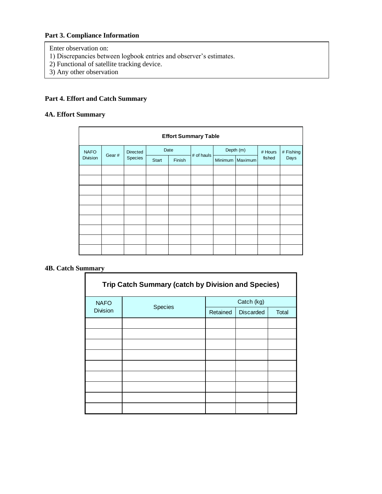# **Part 3. Compliance Information**

Enter observation on:

- 1) Discrepancies between logbook entries and observer's estimates.
- 2) Functional of satellite tracking device.
- 3) Any other observation

# **Part 4. Effort and Catch Summary**

### **4A. Effort Summary**

| <b>Effort Summary Table</b> |       |                 |       |        |            |         |           |                   |                   |  |
|-----------------------------|-------|-----------------|-------|--------|------------|---------|-----------|-------------------|-------------------|--|
| <b>NAFO</b>                 | Gear# | <b>Directed</b> |       | Date   | # of hauls |         | Depth (m) | # Hours<br>fished | # Fishing<br>Days |  |
| <b>Division</b>             |       | Species         | Start | Finish |            | Minimum | Maximum   |                   |                   |  |
|                             |       |                 |       |        |            |         |           |                   |                   |  |
|                             |       |                 |       |        |            |         |           |                   |                   |  |
|                             |       |                 |       |        |            |         |           |                   |                   |  |
|                             |       |                 |       |        |            |         |           |                   |                   |  |
|                             |       |                 |       |        |            |         |           |                   |                   |  |
|                             |       |                 |       |        |            |         |           |                   |                   |  |
|                             |       |                 |       |        |            |         |           |                   |                   |  |
|                             |       |                 |       |        |            |         |           |                   |                   |  |
|                             |       |                 |       |        |            |         |           |                   |                   |  |

#### **4B. Catch Summary**

| <b>Trip Catch Summary (catch by Division and Species)</b> |                |          |                  |       |  |  |  |  |  |
|-----------------------------------------------------------|----------------|----------|------------------|-------|--|--|--|--|--|
| <b>NAFO</b>                                               |                |          | Catch (kg)       |       |  |  |  |  |  |
| <b>Division</b>                                           | <b>Species</b> | Retained | <b>Discarded</b> | Total |  |  |  |  |  |
|                                                           |                |          |                  |       |  |  |  |  |  |
|                                                           |                |          |                  |       |  |  |  |  |  |
|                                                           |                |          |                  |       |  |  |  |  |  |
|                                                           |                |          |                  |       |  |  |  |  |  |
|                                                           |                |          |                  |       |  |  |  |  |  |
|                                                           |                |          |                  |       |  |  |  |  |  |
|                                                           |                |          |                  |       |  |  |  |  |  |
|                                                           |                |          |                  |       |  |  |  |  |  |
|                                                           |                |          |                  |       |  |  |  |  |  |